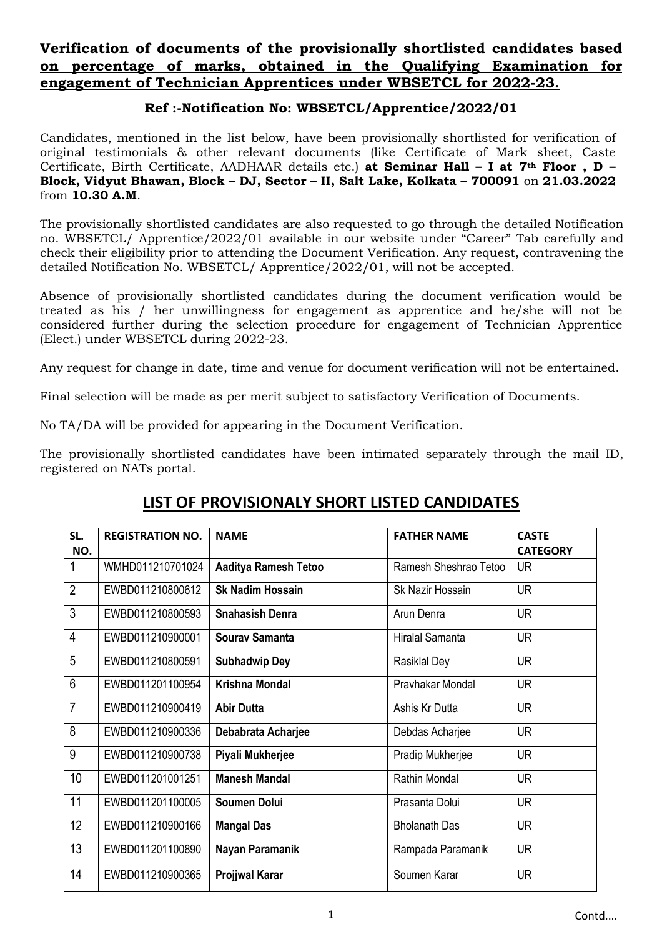## **Verification of documents of the provisionally shortlisted candidates based on percentage of marks, obtained in the Qualifying Examination for engagement of Technician Apprentices under WBSETCL for 2022-23.**

## **Ref :-Notification No: WBSETCL/Apprentice/2022/01**

Candidates, mentioned in the list below, have been provisionally shortlisted for verification of original testimonials & other relevant documents (like Certificate of Mark sheet, Caste Certificate, Birth Certificate, AADHAAR details etc.) **at Seminar Hall – I at 7th Floor , D – Block, Vidyut Bhawan, Block – DJ, Sector – II, Salt Lake, Kolkata – 700091** on **21.03.2022** from **10.30 A.M**.

The provisionally shortlisted candidates are also requested to go through the detailed Notification no. WBSETCL/ Apprentice/2022/01 available in our website under "Career" Tab carefully and check their eligibility prior to attending the Document Verification. Any request, contravening the detailed Notification No. WBSETCL/ Apprentice/2022/01, will not be accepted.

Absence of provisionally shortlisted candidates during the document verification would be treated as his / her unwillingness for engagement as apprentice and he/she will not be considered further during the selection procedure for engagement of Technician Apprentice (Elect.) under WBSETCL during 2022-23.

Any request for change in date, time and venue for document verification will not be entertained.

Final selection will be made as per merit subject to satisfactory Verification of Documents.

No TA/DA will be provided for appearing in the Document Verification.

The provisionally shortlisted candidates have been intimated separately through the mail ID, registered on NATs portal.

## **LIST OF PROVISIONALY SHORT LISTED CANDIDATES**

| SL.            | <b>REGISTRATION NO.</b> | <b>NAME</b>                 | <b>FATHER NAME</b>    | <b>CASTE</b>    |
|----------------|-------------------------|-----------------------------|-----------------------|-----------------|
| NO.            |                         |                             |                       | <b>CATEGORY</b> |
| 1              | WMHD011210701024        | <b>Aaditya Ramesh Tetoo</b> | Ramesh Sheshrao Tetoo | <b>UR</b>       |
| $\overline{2}$ | EWBD011210800612        | <b>Sk Nadim Hossain</b>     | Sk Nazir Hossain      | <b>UR</b>       |
| 3              | EWBD011210800593        | <b>Snahasish Denra</b>      | Arun Denra            | <b>UR</b>       |
| $\overline{4}$ | EWBD011210900001        | Sourav Samanta              | Hiralal Samanta       | <b>UR</b>       |
| 5              | EWBD011210800591        | <b>Subhadwip Dey</b>        | Rasiklal Dey          | <b>UR</b>       |
| $6\phantom{1}$ | EWBD011201100954        | <b>Krishna Mondal</b>       | Prayhakar Mondal      | <b>UR</b>       |
| $\overline{7}$ | EWBD011210900419        | <b>Abir Dutta</b>           | Ashis Kr Dutta        | <b>UR</b>       |
| 8              | EWBD011210900336        | Debabrata Acharjee          | Debdas Acharjee       | <b>UR</b>       |
| 9              | EWBD011210900738        | Piyali Mukherjee            | Pradip Mukherjee      | <b>UR</b>       |
| 10             | EWBD011201001251        | <b>Manesh Mandal</b>        | <b>Rathin Mondal</b>  | <b>UR</b>       |
| 11             | EWBD011201100005        | <b>Soumen Dolui</b>         | Prasanta Dolui        | <b>UR</b>       |
| 12             | EWBD011210900166        | <b>Mangal Das</b>           | <b>Bholanath Das</b>  | <b>UR</b>       |
| 13             | EWBD011201100890        | Nayan Paramanik             | Rampada Paramanik     | <b>UR</b>       |
| 14             | EWBD011210900365        | <b>Projjwal Karar</b>       | Soumen Karar          | <b>UR</b>       |